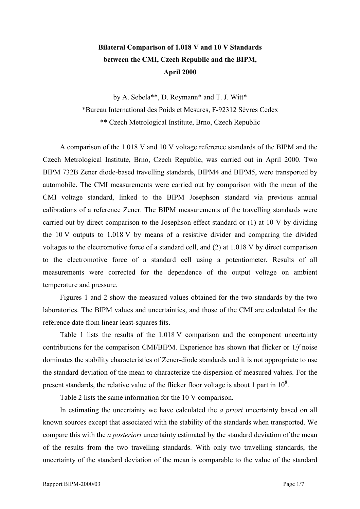## **Bilateral Comparison of 1.018 V and 10 V Standards between the CMI, Czech Republic and the BIPM, April 2000**

by A. Sebela\*\*, D. Reymann\* and T. J. Witt\* \*Bureau International des Poids et Mesures, F-92312 SËvres Cedex \*\* Czech Metrological Institute, Brno, Czech Republic

A comparison of the 1.018 V and 10 V voltage reference standards of the BIPM and the Czech Metrological Institute, Brno, Czech Republic, was carried out in April 2000. Two BIPM 732B Zener diode-based travelling standards, BIPM4 and BIPM5, were transported by automobile. The CMI measurements were carried out by comparison with the mean of the CMI voltage standard, linked to the BIPM Josephson standard via previous annual calibrations of a reference Zener. The BIPM measurements of the travelling standards were carried out by direct comparison to the Josephson effect standard or (1) at 10 V by dividing the 10 V outputs to 1.018 V by means of a resistive divider and comparing the divided voltages to the electromotive force of a standard cell, and (2) at 1.018 V by direct comparison to the electromotive force of a standard cell using a potentiometer. Results of all measurements were corrected for the dependence of the output voltage on ambient temperature and pressure.

Figures 1 and 2 show the measured values obtained for the two standards by the two laboratories. The BIPM values and uncertainties, and those of the CMI are calculated for the reference date from linear least-squares fits.

Table 1 lists the results of the 1.018 V comparison and the component uncertainty contributions for the comparison CMI/BIPM. Experience has shown that flicker or 1/*f* noise dominates the stability characteristics of Zener-diode standards and it is not appropriate to use the standard deviation of the mean to characterize the dispersion of measured values. For the present standards, the relative value of the flicker floor voltage is about 1 part in  $10^8$ .

Table 2 lists the same information for the 10 V comparison.

In estimating the uncertainty we have calculated the *a priori* uncertainty based on all known sources except that associated with the stability of the standards when transported. We compare this with the *a posteriori* uncertainty estimated by the standard deviation of the mean of the results from the two travelling standards. With only two travelling standards, the uncertainty of the standard deviation of the mean is comparable to the value of the standard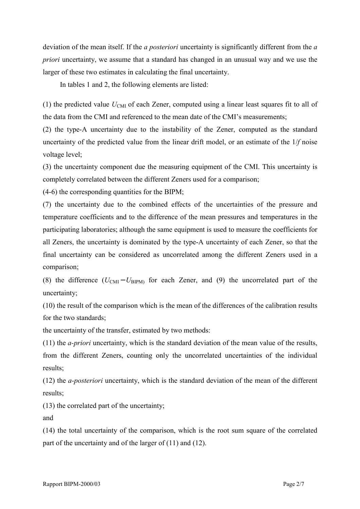deviation of the mean itself. If the *a posteriori* uncertainty is significantly different from the *a priori* uncertainty, we assume that a standard has changed in an unusual way and we use the larger of these two estimates in calculating the final uncertainty.

In tables 1 and 2, the following elements are listed:

(1) the predicted value  $U_{\text{CMI}}$  of each Zener, computed using a linear least squares fit to all of the data from the CMI and referenced to the mean date of the CMI's measurements;

(2) the type-A uncertainty due to the instability of the Zener, computed as the standard uncertainty of the predicted value from the linear drift model, or an estimate of the 1/*f* noise voltage level;

(3) the uncertainty component due the measuring equipment of the CMI. This uncertainty is completely correlated between the different Zeners used for a comparison;

(4-6) the corresponding quantities for the BIPM;

(7) the uncertainty due to the combined effects of the uncertainties of the pressure and temperature coefficients and to the difference of the mean pressures and temperatures in the participating laboratories; although the same equipment is used to measure the coefficients for all Zeners, the uncertainty is dominated by the type-A uncertainty of each Zener, so that the final uncertainty can be considered as uncorrelated among the different Zeners used in a comparison;

(8) the difference  $(U_{\text{CMI}} - U_{\text{BIPM}})$  for each Zener, and (9) the uncorrelated part of the uncertainty;

(10) the result of the comparison which is the mean of the differences of the calibration results for the two standards;

the uncertainty of the transfer, estimated by two methods:

(11) the *a-priori* uncertainty, which is the standard deviation of the mean value of the results, from the different Zeners, counting only the uncorrelated uncertainties of the individual results;

(12) the *a-posteriori* uncertainty, which is the standard deviation of the mean of the different results;

(13) the correlated part of the uncertainty;

and

(14) the total uncertainty of the comparison, which is the root sum square of the correlated part of the uncertainty and of the larger of (11) and (12).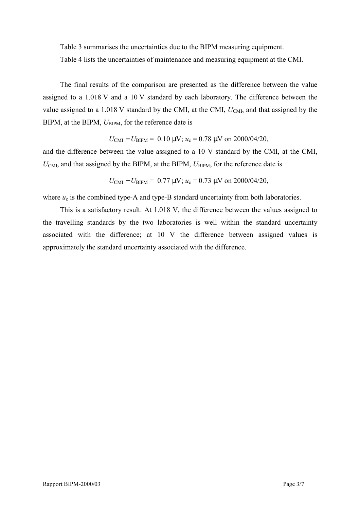Table 3 summarises the uncertainties due to the BIPM measuring equipment.

Table 4 lists the uncertainties of maintenance and measuring equipment at the CMI.

The final results of the comparison are presented as the difference between the value assigned to a 1.018 V and a 10 V standard by each laboratory. The difference between the value assigned to a 1.018 V standard by the CMI, at the CMI,  $U_{\text{CMI}}$ , and that assigned by the BIPM, at the BIPM,  $U_{\text{BIPM}}$ , for the reference date is

$$
U_{\text{CMI}} - U_{\text{BIPM}} = 0.10 \text{ }\mu\text{V}; u_c = 0.78 \text{ }\mu\text{V} \text{ on } 2000/04/20,
$$

and the difference between the value assigned to a 10 V standard by the CMI, at the CMI,  $U_{\text{CMI}}$ , and that assigned by the BIPM, at the BIPM,  $U_{\text{BIPM}}$ , for the reference date is

$$
U_{\text{CMI}} - U_{\text{BIPM}} = 0.77 \text{ }\mu\text{V}; u_c = 0.73 \text{ }\mu\text{V} \text{ on } 2000/04/20,
$$

where  $u_c$  is the combined type-A and type-B standard uncertainty from both laboratories.

This is a satisfactory result. At 1.018 V, the difference between the values assigned to the travelling standards by the two laboratories is well within the standard uncertainty associated with the difference; at 10 V the difference between assigned values is approximately the standard uncertainty associated with the difference.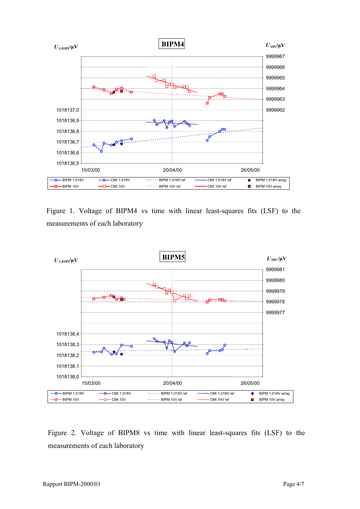

Figure 1. Voltage of BIPM4 vs time with linear least-squares fits (LSF) to the measurements of each laboratory



Figure 2. Voltage of BIPM8 vs time with linear least-squares fits (LSF) to the measurements of each laboratory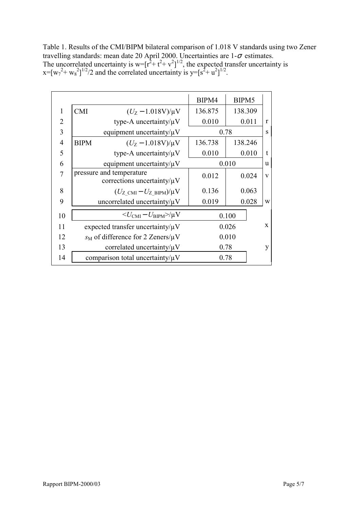Table 1. Results of the CMI/BIPM bilateral comparison of 1.018 V standards using two Zener travelling standards: mean date 20 April 2000. Uncertainties are  $1-\sigma$  estimates. The uncorrelated uncertainty is  $w = [r^2 + t^2 + v^2]^{1/2}$ , the expected transfer uncertainty is  $x=[w_7^2+ w_8^2]^{1/2}/2$  and the correlated uncertainty is y=[s<sup>2</sup>+ u<sup>2</sup>]<sup>1/2</sup>.

|                |             |                                                              | BIPM4   | BIPM5   |              |
|----------------|-------------|--------------------------------------------------------------|---------|---------|--------------|
| 1              | <b>CMI</b>  | $(U_Z - 1.018V)/\mu V$                                       | 136.875 | 138.309 |              |
| 2              |             | type-A uncertainty/ $\mu$ V                                  | 0.010   | 0.011   | $\mathbf{r}$ |
| 3              |             | equipment uncertainty/ $\mu$ V                               |         | 0.78    | S            |
| $\overline{4}$ | <b>BIPM</b> | $(U_Z - 1.018V)/\mu V$                                       | 136.738 | 138.246 |              |
| 5              |             | type-A uncertainty/ $\mu$ V                                  | 0.010   | 0.010   | t            |
| 6              |             | equipment uncertainty/ $\mu$ V                               |         | 0.010   | u            |
| 7              |             | pressure and temperature<br>corrections uncertainty/ $\mu$ V | 0.012   | 0.024   | V            |
| 8              |             | $(U_{Z \text{ CM}} - U_{Z \text{ BIPM}})/\mu V$              | 0.136   | 0.063   |              |
| 9              |             | uncorrelated uncertainty/ $\mu$ V                            | 0.019   | 0.028   | W            |
| 10             |             | $\langle U_{\text{CMI}} - U_{\text{BIPM}} \rangle / \mu V$   |         | 0.100   |              |
| 11             |             | expected transfer uncertainty/ $\mu$ V                       |         | 0.026   | $\mathbf{x}$ |
| 12             |             | $s_M$ of difference for 2 Zeners/ $\mu$ V                    |         | 0.010   |              |
| 13             |             | correlated uncertainty/ $\mu$ V                              |         | 0.78    | y            |
| 14             |             | comparison total uncertainty/ $\mu$ V                        |         | 0.78    |              |
|                |             |                                                              |         |         |              |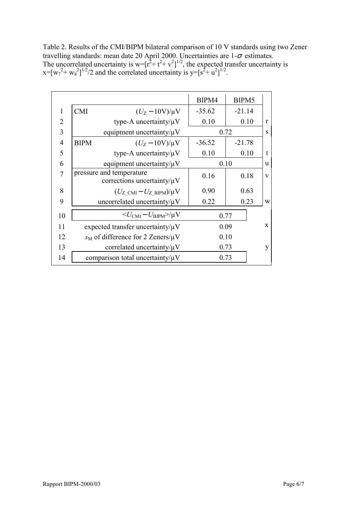Table 2. Results of the CMI/BIPM bilateral comparison of 10 V standards using two Zener travelling standards: mean date 20 April 2000. Uncertainties are  $1-\sigma$  estimates. The uncorrelated uncertainty is  $w = [r^2 + t^2 + v^2]^{1/2}$ , the expected transfer uncertainty is  $x=[w_7^2+ w_8^2]^{1/2}/2$  and the correlated uncertainty is y=[s<sup>2</sup>+ u<sup>2</sup>]<sup>1/2</sup>.

|                |             |                                                              | BIPM4    | BIPM5    |              |
|----------------|-------------|--------------------------------------------------------------|----------|----------|--------------|
| $\mathbf{1}$   | <b>CMI</b>  | $(U_Z - 10V)/\mu V$                                          | $-35.62$ | $-21.14$ |              |
| $\overline{2}$ |             | type-A uncertainty/ $\mu$ V                                  | 0.10     | 0.10     | $\mathbf{r}$ |
| 3              |             | equipment uncertainty/ $\mu$ V                               |          | 0.72     | S            |
| 4              | <b>BIPM</b> | $(U_Z - 10V)/\mu V$                                          | $-36.52$ | $-21.78$ |              |
| 5              |             | type-A uncertainty/ $\mu$ V                                  | 0.10     | 0.10     | $\mathbf t$  |
| 6              |             | equipment uncertainty/ $\mu$ V                               |          | 0.10     | $\mathbf{u}$ |
| 7              |             | pressure and temperature<br>corrections uncertainty/ $\mu$ V | 0.16     | 0.18     | V            |
| 8              |             | $(U_{Z \text{ CMI}} - U_{Z \text{ BIPM}})/\mu V$             | 0.90     | 0.63     |              |
| 9              |             | uncorrelated uncertainty/ $\mu$ V                            | 0.22     | 0.23     | W            |
| 10             |             | $\langle U_{\text{CMI}} - U_{\text{BIPM}} \rangle / \mu V$   |          | 0.77     |              |
| 11             |             | expected transfer uncertainty/ $\mu$ V                       |          | 0.09     | $\mathbf{x}$ |
| 12             |             | $s_M$ of difference for 2 Zeners/ $\mu$ V                    |          | 0.10     |              |
| 13             |             | correlated uncertainty/ $\mu$ V                              |          | 0.73     | y            |
| 14             |             | comparison total uncertainty/ $\mu$ V                        |          | 0.73     |              |
|                |             |                                                              |          |          |              |